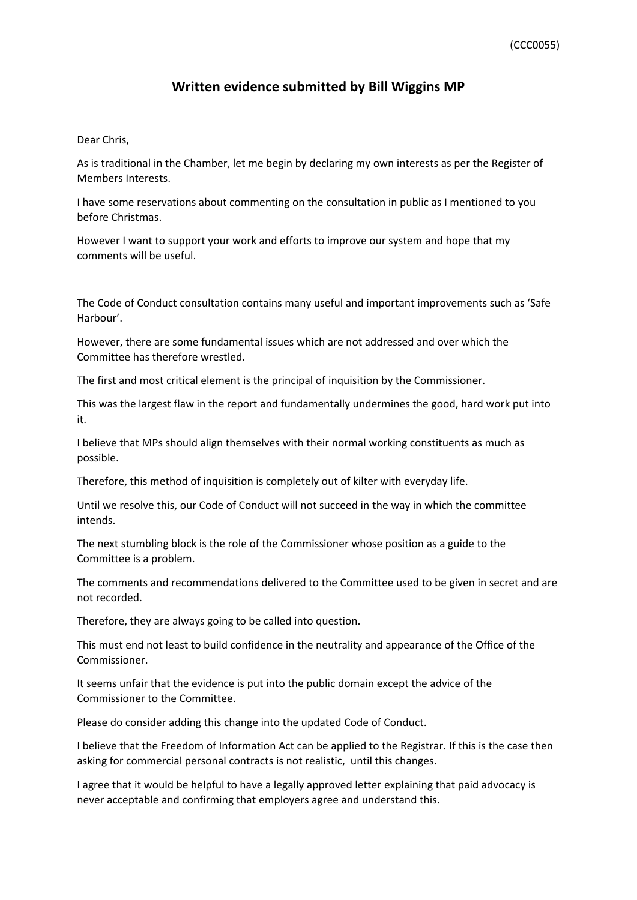## **Written evidence submitted by Bill Wiggins MP**

## Dear Chris,

As is traditional in the Chamber, let me begin by declaring my own interests as per the Register of Members Interests.

I have some reservations about commenting on the consultation in public as I mentioned to you before Christmas.

However I want to support your work and efforts to improve our system and hope that my comments will be useful.

The Code of Conduct consultation contains many useful and important improvements such as 'Safe Harbour'.

However, there are some fundamental issues which are not addressed and over which the Committee has therefore wrestled.

The first and most critical element is the principal of inquisition by the Commissioner.

This was the largest flaw in the report and fundamentally undermines the good, hard work put into it.

I believe that MPs should align themselves with their normal working constituents as much as possible.

Therefore, this method of inquisition is completely out of kilter with everyday life.

Until we resolve this, our Code of Conduct will not succeed in the way in which the committee intends.

The next stumbling block is the role of the Commissioner whose position as a guide to the Committee is a problem.

The comments and recommendations delivered to the Committee used to be given in secret and are not recorded.

Therefore, they are always going to be called into question.

This must end not least to build confidence in the neutrality and appearance of the Office of the Commissioner.

It seems unfair that the evidence is put into the public domain except the advice of the Commissioner to the Committee.

Please do consider adding this change into the updated Code of Conduct.

I believe that the Freedom of Information Act can be applied to the Registrar. If this is the case then asking for commercial personal contracts is not realistic, until this changes.

I agree that it would be helpful to have a legally approved letter explaining that paid advocacy is never acceptable and confirming that employers agree and understand this.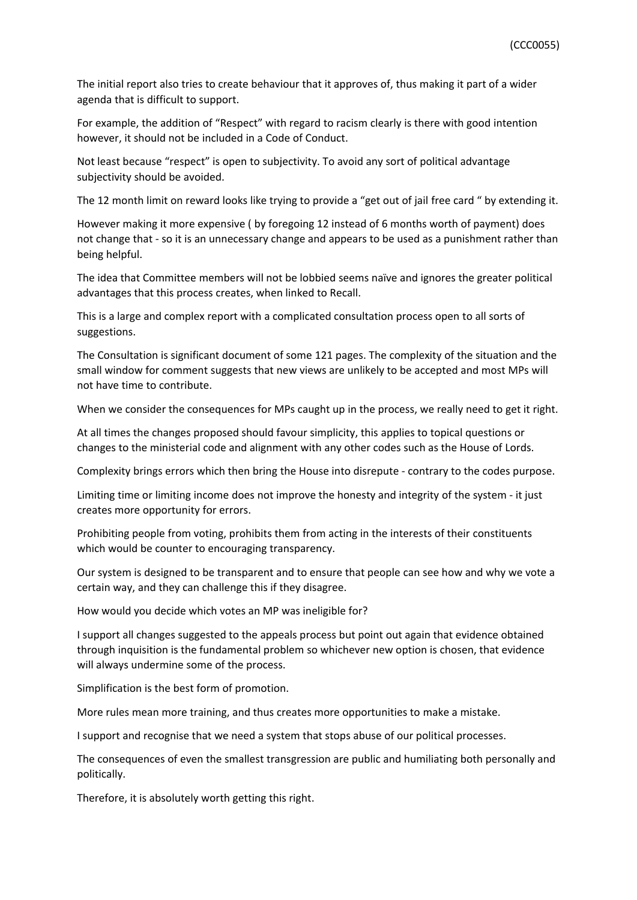The initial report also tries to create behaviour that it approves of, thus making it part of a wider agenda that is difficult to support.

For example, the addition of "Respect" with regard to racism clearly is there with good intention however, it should not be included in a Code of Conduct.

Not least because "respect" is open to subjectivity. To avoid any sort of political advantage subjectivity should be avoided.

The 12 month limit on reward looks like trying to provide a "get out of jail free card " by extending it.

However making it more expensive ( by foregoing 12 instead of 6 months worth of payment) does not change that - so it is an unnecessary change and appears to be used as a punishment rather than being helpful.

The idea that Committee members will not be lobbied seems naïve and ignores the greater political advantages that this process creates, when linked to Recall.

This is a large and complex report with a complicated consultation process open to all sorts of suggestions.

The Consultation is significant document of some 121 pages. The complexity of the situation and the small window for comment suggests that new views are unlikely to be accepted and most MPs will not have time to contribute.

When we consider the consequences for MPs caught up in the process, we really need to get it right.

At all times the changes proposed should favour simplicity, this applies to topical questions or changes to the ministerial code and alignment with any other codes such as the House of Lords.

Complexity brings errors which then bring the House into disrepute - contrary to the codes purpose.

Limiting time or limiting income does not improve the honesty and integrity of the system - it just creates more opportunity for errors.

Prohibiting people from voting, prohibits them from acting in the interests of their constituents which would be counter to encouraging transparency.

Our system is designed to be transparent and to ensure that people can see how and why we vote a certain way, and they can challenge this if they disagree.

How would you decide which votes an MP was ineligible for?

I support all changes suggested to the appeals process but point out again that evidence obtained through inquisition is the fundamental problem so whichever new option is chosen, that evidence will always undermine some of the process.

Simplification is the best form of promotion.

More rules mean more training, and thus creates more opportunities to make a mistake.

I support and recognise that we need a system that stops abuse of our political processes.

The consequences of even the smallest transgression are public and humiliating both personally and politically.

Therefore, it is absolutely worth getting this right.